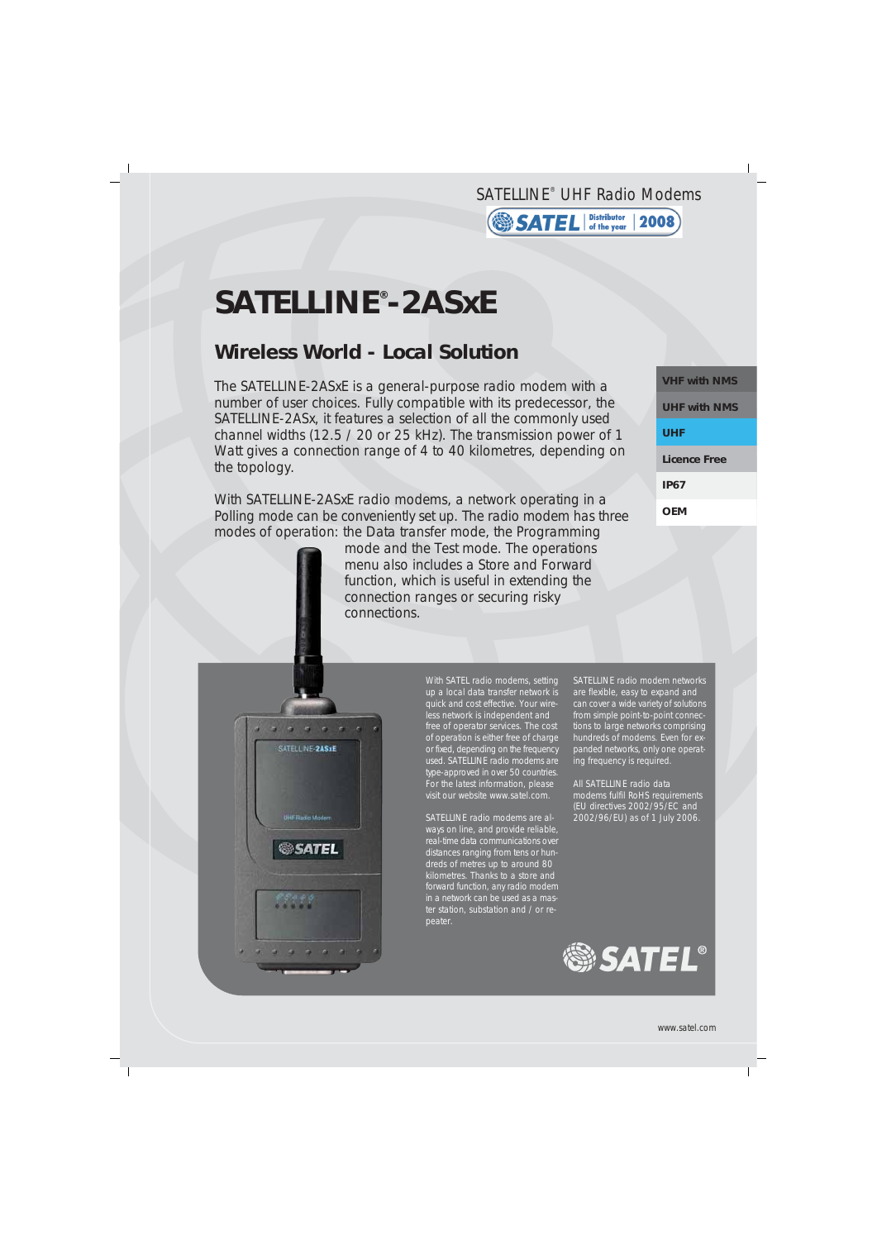SATELLINE® UHF Radio Modems

SATEL St the year 2008

# **SATELLINE® -2ASxE**

## **Wireless World - Local Solution**

The SATELLINE-2ASxE is a general-purpose radio modem with a number of user choices. Fully compatible with its predecessor, the SATELLINE-2ASx, it features a selection of all the commonly used channel widths (12.5 / 20 or 25 kHz). The transmission power of 1 Watt gives a connection range of 4 to 40 kilometres, depending on the topology.

With SATELLINE-2ASxE radio modems, a network operating in a Polling mode can be conveniently set up. The radio modem has three modes of operation: the Data transfer mode, the Programming

> mode and the Test mode. The operations menu also includes a Store and Forward function, which is useful in extending the connection ranges or securing risky connections.

**VHF with NMS UHF with NMS UHF Licence Free IP67 OEM**



With SATEL radio modems, setting up a local data transfer network is quick and cost effective. Your wireless network is independent and free of operator services. The cost of operation is either free of charge or fixed, depending on the frequency used. SATELLINE radio modems are type-approved in over 50 countries. For the latest information, please visit our website www.satel.com.

SATELLINE radio modems are always on line, and provide reliable, real-time data communications over distances ranging from tens or hundreds of metres up to around 80 kilometres. Thanks to a store and forward function, any radio modem in a network can be used as a master station, substation and / or repeater.

SATELLINE radio modem networks are flexible, easy to expand and can cover a wide variety of solutions from simple point-to-point connections to large networks comprising hundreds of modems. Even for expanded networks, only one operating frequency is required.

All SATELLINE radio data modems fulfil RoHS requirements (EU directives 2002/95/EC and 2002/96/EU) as of 1 July 2006.